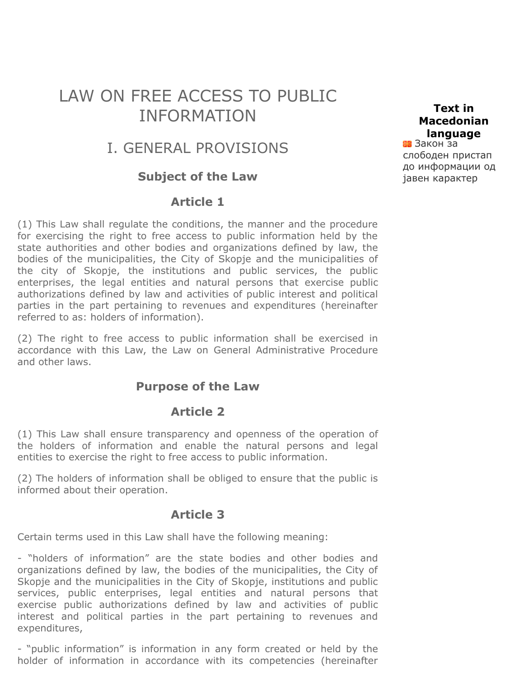# LAW ON FREE ACCESS TO PUBLIC INFORMATION

# I. GENERAL PROVISIONS

#### **Subject of the Law**

#### **Article 1**

(1) This Law shall regulate the conditions, the manner and the procedure for exercising the right to free access to public information held by the state authorities and other bodies and organizations defined by law, the bodies of the municipalities, the City of Skopje and the municipalities of the city of Skopje, the institutions and public services, the public enterprises, the legal entities and natural persons that exercise public authorizations defined by law and activities of public interest and political parties in the part pertaining to revenues and expenditures (hereinafter referred to as: holders of information).

(2) The right to free access to public information shall be exercised in accordance with this Law, the Law on General Administrative Procedure and other laws.

#### **Purpose of the Law**

#### **Article 2**

(1) This Law shall ensure transparency and openness of the operation of the holders of information and enable the natural persons and legal entities to exercise the right to free access to public information.

(2) The holders of information shall be obliged to ensure that the public is informed about their operation.

#### **Article 3**

Certain terms used in this Law shall have the following meaning:

- "holders of information" are the state bodies and other bodies and organizations defined by law, the bodies of the municipalities, the City of Skopje and the municipalities in the City of Skopje, institutions and public services, public enterprises, legal entities and natural persons that exercise public authorizations defined by law and activities of public interest and political parties in the part pertaining to revenues and expenditures,

- "public information" is information in any form created or held by the holder of information in accordance with its competencies (hereinafter

Закон за **Text in Macedonian language**

слободен пристап [до информации од](javascript:createURL() јавен карактер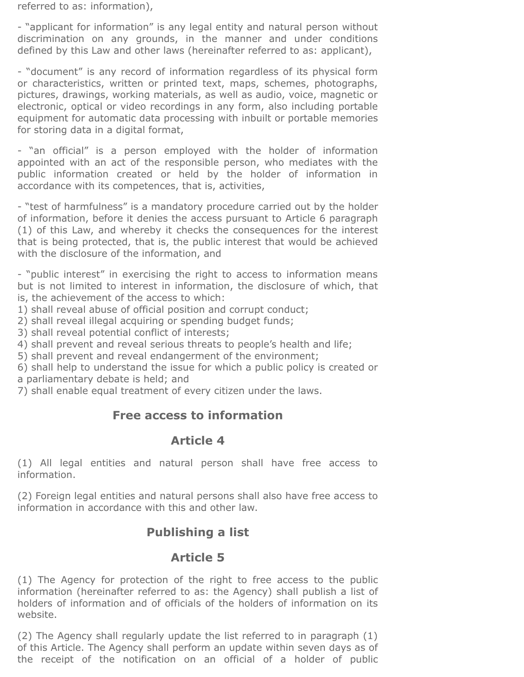referred to as: information),

- "applicant for information" is any legal entity and natural person without discrimination on any grounds, in the manner and under conditions defined by this Law and other laws (hereinafter referred to as: applicant),

- "document" is any record of information regardless of its physical form or characteristics, written or printed text, maps, schemes, photographs, pictures, drawings, working materials, as well as audio, voice, magnetic or electronic, optical or video recordings in any form, also including portable equipment for automatic data processing with inbuilt or portable memories for storing data in a digital format,

- "an official" is a person employed with the holder of information appointed with an act of the responsible person, who mediates with the public information created or held by the holder of information in accordance with its competences, that is, activities,

- "test of harmfulness" is a mandatory procedure carried out by the holder of information, before it denies the access pursuant to Article 6 paragraph (1) of this Law, and whereby it checks the consequences for the interest that is being protected, that is, the public interest that would be achieved with the disclosure of the information, and

- "public interest" in exercising the right to access to information means but is not limited to interest in information, the disclosure of which, that is, the achievement of the access to which:

1) shall reveal abuse of official position and corrupt conduct;

2) shall reveal illegal acquiring or spending budget funds;

3) shall reveal potential conflict of interests;

4) shall prevent and reveal serious threats to people's health and life;

5) shall prevent and reveal endangerment of the environment;

6) shall help to understand the issue for which a public policy is created or a parliamentary debate is held; and

7) shall enable equal treatment of every citizen under the laws.

#### **Free access to information**

#### **Article 4**

(1) All legal entities and natural person shall have free access to information.

(2) Foreign legal entities and natural persons shall also have free access to information in accordance with this and other law.

# **Publishing a list**

## **Article 5**

(1) The Agency for protection of the right to free access to the public information (hereinafter referred to as: the Agency) shall publish a list of holders of information and of officials of the holders of information on its website.

(2) The Agency shall regularly update the list referred to in paragraph (1) of this Article. The Agency shall perform an update within seven days as of the receipt of the notification on an official of a holder of public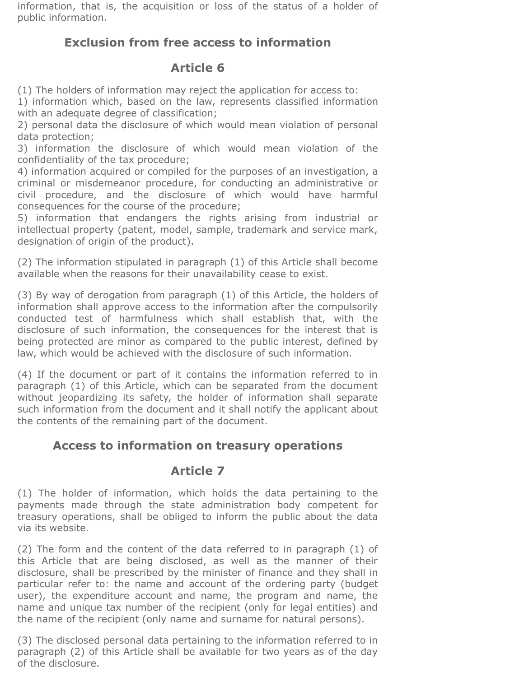information, that is, the acquisition or loss of the status of a holder of public information.

# **Exclusion from free access to information**

## **Article 6**

(1) The holders of information may reject the application for access to:

1) information which, based on the law, represents classified information with an adequate degree of classification;

2) personal data the disclosure of which would mean violation of personal data protection;

3) information the disclosure of which would mean violation of the confidentiality of the tax procedure;

4) information acquired or compiled for the purposes of an investigation, a criminal or misdemeanor procedure, for conducting an administrative or civil procedure, and the disclosure of which would have harmful consequences for the course of the procedure;

5) information that endangers the rights arising from industrial or intellectual property (patent, model, sample, trademark and service mark, designation of origin of the product).

(2) The information stipulated in paragraph (1) of this Article shall become available when the reasons for their unavailability cease to exist.

(3) By way of derogation from paragraph (1) of this Article, the holders of information shall approve access to the information after the compulsorily conducted test of harmfulness which shall establish that, with the disclosure of such information, the consequences for the interest that is being protected are minor as compared to the public interest, defined by law, which would be achieved with the disclosure of such information.

(4) If the document or part of it contains the information referred to in paragraph (1) of this Article, which can be separated from the document without jeopardizing its safety, the holder of information shall separate such information from the document and it shall notify the applicant about the contents of the remaining part of the document.

# **Access to information on treasury operations**

# **Article 7**

(1) The holder of information, which holds the data pertaining to the payments made through the state administration body competent for treasury operations, shall be obliged to inform the public about the data via its website.

(2) The form and the content of the data referred to in paragraph (1) of this Article that are being disclosed, as well as the manner of their disclosure, shall be prescribed by the minister of finance and they shall in particular refer to: the name and account of the ordering party (budget user), the expenditure account and name, the program and name, the name and unique tax number of the recipient (only for legal entities) and the name of the recipient (only name and surname for natural persons).

(3) The disclosed personal data pertaining to the information referred to in paragraph (2) of this Article shall be available for two years as of the day of the disclosure.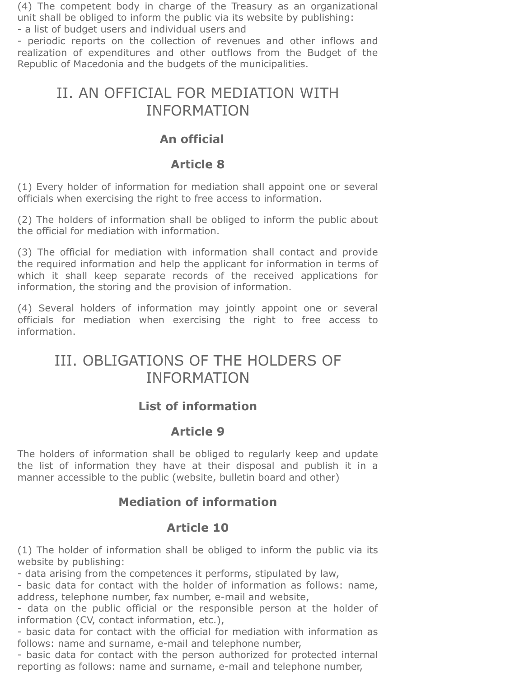(4) The competent body in charge of the Treasury as an organizational unit shall be obliged to inform the public via its website by publishing:

- a list of budget users and individual users and

- periodic reports on the collection of revenues and other inflows and realization of expenditures and other outflows from the Budget of the Republic of Macedonia and the budgets of the municipalities.

# II. AN OFFICIAL FOR MEDIATION WITH INFORMATION

## **An official**

#### **Article 8**

(1) Every holder of information for mediation shall appoint one or several officials when exercising the right to free access to information.

(2) The holders of information shall be obliged to inform the public about the official for mediation with information.

(3) The official for mediation with information shall contact and provide the required information and help the applicant for information in terms of which it shall keep separate records of the received applications for information, the storing and the provision of information.

(4) Several holders of information may jointly appoint one or several officials for mediation when exercising the right to free access to information.

# III. OBLIGATIONS OF THE HOLDERS OF INFORMATION

# **List of information**

## **Article 9**

The holders of information shall be obliged to regularly keep and update the list of information they have at their disposal and publish it in a manner accessible to the public (website, bulletin board and other)

# **Mediation of information**

## **Article 10**

(1) The holder of information shall be obliged to inform the public via its website by publishing:

- data arising from the competences it performs, stipulated by law,

- basic data for contact with the holder of information as follows: name, address, telephone number, fax number, e-mail and website,

- data on the public official or the responsible person at the holder of information (CV, contact information, etc.),

- basic data for contact with the official for mediation with information as follows: name and surname, e-mail and telephone number,

- basic data for contact with the person authorized for protected internal reporting as follows: name and surname, e-mail and telephone number,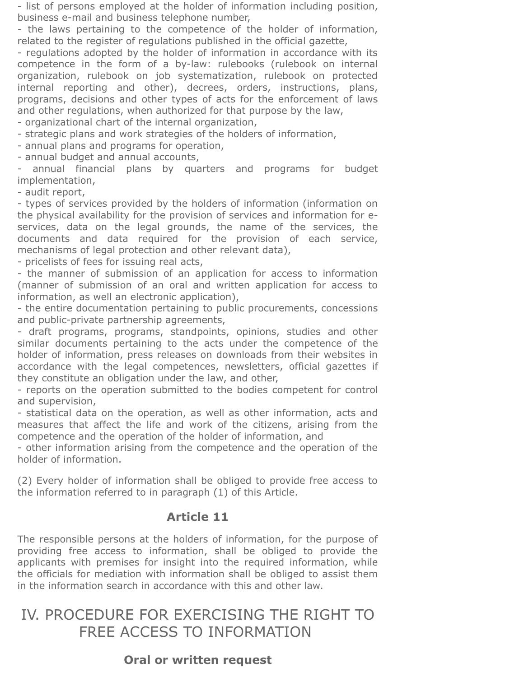- list of persons employed at the holder of information including position, business e-mail and business telephone number,

- the laws pertaining to the competence of the holder of information, related to the register of regulations published in the official gazette,

- regulations adopted by the holder of information in accordance with its competence in the form of a by-law: rulebooks (rulebook on internal organization, rulebook on job systematization, rulebook on protected internal reporting and other), decrees, orders, instructions, plans, programs, decisions and other types of acts for the enforcement of laws and other regulations, when authorized for that purpose by the law,

- organizational chart of the internal organization,

- strategic plans and work strategies of the holders of information,

- annual plans and programs for operation,

- annual budget and annual accounts,

annual financial plans by quarters and programs for budget implementation,

- audit report,

- types of services provided by the holders of information (information on the physical availability for the provision of services and information for eservices, data on the legal grounds, the name of the services, the documents and data required for the provision of each service, mechanisms of legal protection and other relevant data),

- pricelists of fees for issuing real acts,

- the manner of submission of an application for access to information (manner of submission of an oral and written application for access to information, as well an electronic application),

- the entire documentation pertaining to public procurements, concessions and public-private partnership agreements,

- draft programs, programs, standpoints, opinions, studies and other similar documents pertaining to the acts under the competence of the holder of information, press releases on downloads from their websites in accordance with the legal competences, newsletters, official gazettes if they constitute an obligation under the law, and other,

- reports on the operation submitted to the bodies competent for control and supervision,

- statistical data on the operation, as well as other information, acts and measures that affect the life and work of the citizens, arising from the competence and the operation of the holder of information, and

- other information arising from the competence and the operation of the holder of information.

(2) Every holder of information shall be obliged to provide free access to the information referred to in paragraph (1) of this Article.

## **Article 11**

The responsible persons at the holders of information, for the purpose of providing free access to information, shall be obliged to provide the applicants with premises for insight into the required information, while the officials for mediation with information shall be obliged to assist them in the information search in accordance with this and other law.

# IV. PROCEDURE FOR EXERCISING THE RIGHT TO FREE ACCESS TO INFORMATION

## **Oral or written request**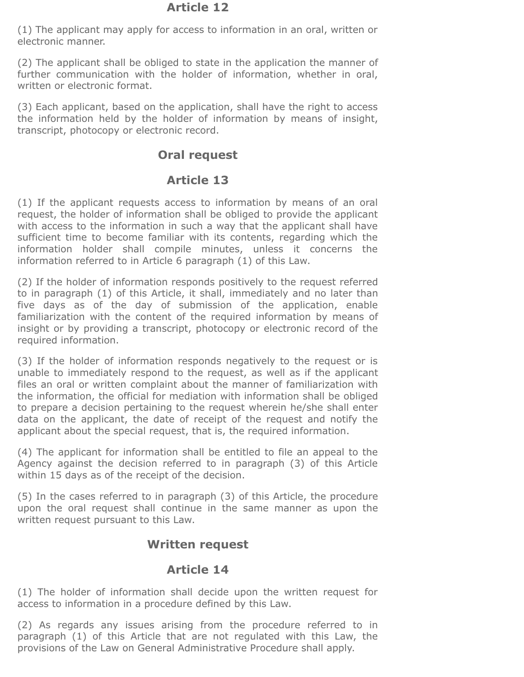(1) The applicant may apply for access to information in an oral, written or electronic manner.

(2) The applicant shall be obliged to state in the application the manner of further communication with the holder of information, whether in oral, written or electronic format.

(3) Each applicant, based on the application, shall have the right to access the information held by the holder of information by means of insight, transcript, photocopy or electronic record.

#### **Oral request**

## **Article 13**

(1) If the applicant requests access to information by means of an oral request, the holder of information shall be obliged to provide the applicant with access to the information in such a way that the applicant shall have sufficient time to become familiar with its contents, regarding which the information holder shall compile minutes, unless it concerns the information referred to in Article 6 paragraph (1) of this Law.

(2) If the holder of information responds positively to the request referred to in paragraph (1) of this Article, it shall, immediately and no later than five days as of the day of submission of the application, enable familiarization with the content of the required information by means of insight or by providing a transcript, photocopy or electronic record of the required information.

(3) If the holder of information responds negatively to the request or is unable to immediately respond to the request, as well as if the applicant files an oral or written complaint about the manner of familiarization with the information, the official for mediation with information shall be obliged to prepare a decision pertaining to the request wherein hе/shе shall enter data on the applicant, the date of receipt of the request and notify the applicant about the special request, that is, the required information.

(4) The applicant for information shall be entitled to file an appeal to the Agency against the decision referred to in paragraph (3) of this Article within 15 days as of the receipt of the decision.

(5) In the cases referred to in paragraph (3) of this Article, the procedure upon the oral request shall continue in the same manner as upon the written request pursuant to this Law.

## **Written request**

## **Article 14**

(1) The holder of information shall decide upon the written request for access to information in a procedure defined by this Law.

(2) As regards any issues arising from the procedure referred to in paragraph (1) of this Article that are not regulated with this Law, the provisions of the Law on General Administrative Procedure shall apply.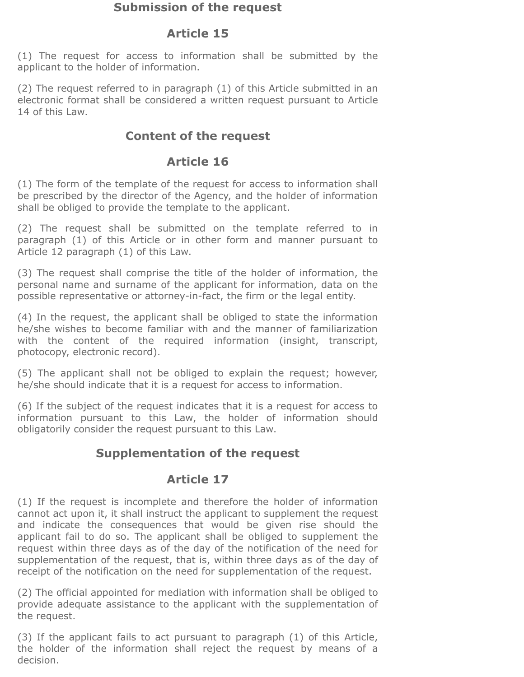#### **Submission of the request**

## **Article 15**

(1) The request for access to information shall be submitted by the applicant to the holder of information.

(2) The request referred to in paragraph (1) of this Article submitted in an electronic format shall be considered a written request pursuant to Article 14 of this Law.

# **Content of the request**

## **Article 16**

(1) The form of the template of the request for access to information shall be prescribed by the director of the Agency, and the holder of information shall be obliged to provide the template to the applicant.

(2) The request shall be submitted on the template referred to in paragraph (1) of this Article or in other form and manner pursuant to Article 12 paragraph (1) of this Law.

(3) The request shall comprise the title of the holder of information, the personal name and surname of the applicant for information, data on the possible representative or attorney-in-fact, the firm or the legal entity.

(4) In the request, the applicant shall be obliged to state the information he/she wishes to become familiar with and the manner of familiarization with the content of the required information (insight, transcript, photocopy, electronic record).

(5) The applicant shall not be obliged to explain the request; however, he/she should indicate that it is a request for access to information.

(6) If the subject of the request indicates that it is a request for access to information pursuant to this Law, the holder of information should obligatorily consider the request pursuant to this Law.

# **Supplementation of the request**

# **Article 17**

(1) If the request is incomplete and therefore the holder of information cannot act upon it, it shall instruct the applicant to supplement the request and indicate the consequences that would be given rise should the applicant fail to do so. The applicant shall be obliged to supplement the request within three days as of the day of the notification of the need for supplementation of the request, that is, within three days as of the day of receipt of the notification on the need for supplementation of the request.

(2) The official appointed for mediation with information shall be obliged to provide adequate assistance to the applicant with the supplementation of the request.

(3) If the applicant fails to act pursuant to paragraph (1) of this Article, the holder of the information shall reject the request by means of a decision.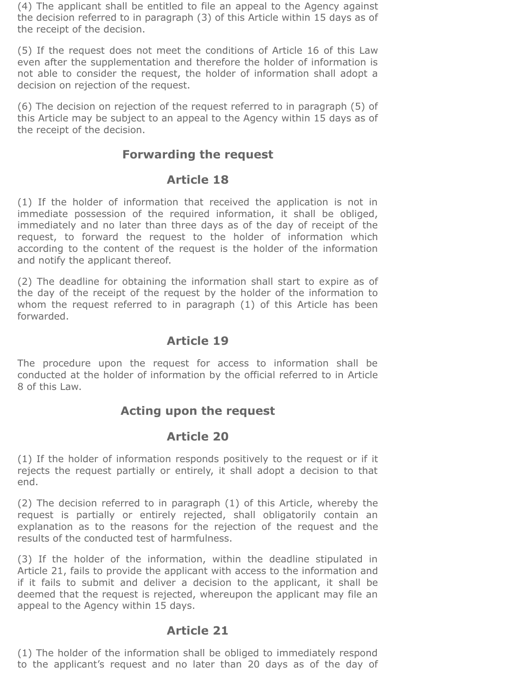(4) The applicant shall be entitled to file an appeal to the Agency against the decision referred to in paragraph (3) of this Article within 15 days as of the receipt of the decision.

(5) If the request does not meet the conditions of Article 16 of this Law even after the supplementation and therefore the holder of information is not able to consider the request, the holder of information shall adopt a decision on rejection of the request.

(6) The decision on rejection of the request referred to in paragraph (5) of this Article may be subject to an appeal to the Agency within 15 days as of the receipt of the decision.

#### **Forwarding the request**

#### **Article 18**

(1) If the holder of information that received the application is not in immediate possession of the required information, it shall be obliged, immediately and no later than three days as of the day of receipt of the request, to forward the request to the holder of information which according to the content of the request is the holder of the information and notify the applicant thereof.

(2) The deadline for obtaining the information shall start to expire as of the day of the receipt of the request by the holder of the information to whom the request referred to in paragraph (1) of this Article has been forwarded.

#### **Article 19**

The procedure upon the request for access to information shall be conducted at the holder of information by the official referred to in Article 8 of this Law.

#### **Acting upon the request**

#### **Article 20**

(1) If the holder of information responds positively to the request or if it rejects the request partially or entirely, it shall adopt a decision to that end.

(2) The decision referred to in paragraph (1) of this Article, whereby the request is partially or entirely rejected, shall obligatorily contain an explanation as to the reasons for the rejection of the request and the results of the conducted test of harmfulness.

(3) If the holder of the information, within the deadline stipulated in Article 21, fails to provide the applicant with access to the information and if it fails to submit and deliver a decision to the applicant, it shall be deemed that the request is rejected, whereupon the applicant may file an appeal to the Agency within 15 days.

#### **Article 21**

(1) The holder of the information shall be obliged to immediately respond to the applicant's request and no later than 20 days as of the day of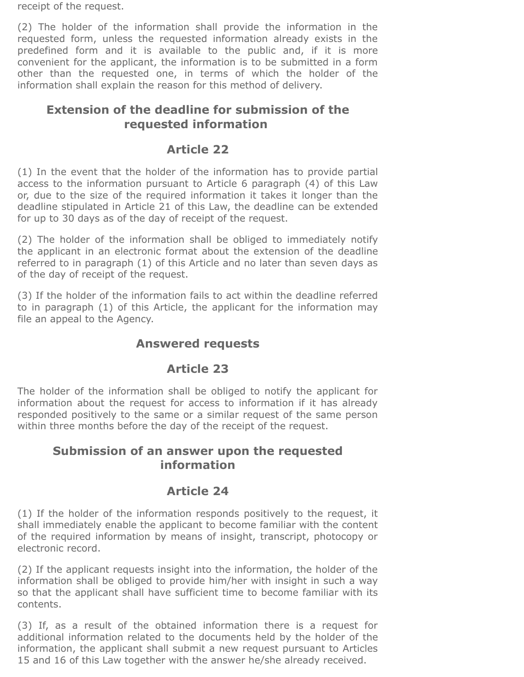receipt of the request.

(2) The holder of the information shall provide the information in the requested form, unless the requested information already exists in the predefined form and it is available to the public and, if it is more convenient for the applicant, the information is to be submitted in a form other than the requested one, in terms of which the holder of the information shall explain the reason for this method of delivery.

## **Extension of the deadline for submission of the requested information**

## **Article 22**

(1) In the event that the holder of the information has to provide partial access to the information pursuant to Article 6 paragraph (4) of this Law or, due to the size of the required information it takes it longer than the deadline stipulated in Article 21 of this Law, the deadline can be extended for up to 30 days as of the day of receipt of the request.

(2) The holder of the information shall be obliged to immediately notify the applicant in an electronic format about the extension of the deadline referred to in paragraph (1) of this Article and no later than seven days as of the day of receipt of the request.

(3) If the holder of the information fails to act within the deadline referred to in paragraph (1) of this Article, the applicant for the information may file an appeal to the Agency.

## **Answered requests**

# **Article 23**

The holder of the information shall be obliged to notify the applicant for information about the request for access to information if it has already responded positively to the same or a similar request of the same person within three months before the day of the receipt of the request.

## **Submission of an answer upon the requested information**

# **Article 24**

(1) If the holder of the information responds positively to the request, it shall immediately enable the applicant to become familiar with the content of the required information by means of insight, transcript, photocopy or electronic record.

(2) If the applicant requests insight into the information, the holder of the information shall be obliged to provide him/her with insight in such a way so that the applicant shall have sufficient time to become familiar with its contents.

(3) If, as a result of the obtained information there is a request for additional information related to the documents held by the holder of the information, the applicant shall submit a new request pursuant to Articles 15 and 16 of this Law together with the answer he/she already received.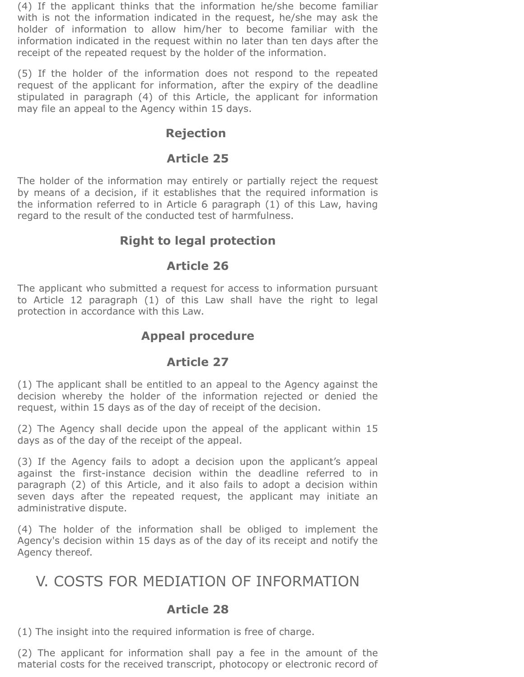(4) If the applicant thinks that the information he/she become familiar with is not the information indicated in the request, he/she may ask the holder of information to allow him/her to become familiar with the information indicated in the request within no later than ten days after the receipt of the repeated request by the holder of the information.

(5) If the holder of the information does not respond to the repeated request of the applicant for information, after the expiry of the deadline stipulated in paragraph (4) of this Article, the applicant for information may file an appeal to the Agency within 15 days.

#### **Rejection**

#### **Article 25**

The holder of the information may entirely or partially reject the request by means of a decision, if it establishes that the required information is the information referred to in Article 6 paragraph (1) of this Law, having regard to the result of the conducted test of harmfulness.

## **Right to legal protection**

#### **Article 26**

The applicant who submitted a request for access to information pursuant to Article 12 paragraph (1) of this Law shall have the right to legal protection in accordance with this Law.

#### **Appeal procedure**

#### **Article 27**

(1) The applicant shall be entitled to an appeal to the Agency against the decision whereby the holder of the information rejected or denied the request, within 15 days as of the day of receipt of the decision.

(2) The Agency shall decide upon the appeal of the applicant within 15 days as of the day of the receipt of the appeal.

(3) If the Agency fails to adopt a decision upon the applicant's appeal against the first-instance decision within the deadline referred to in paragraph (2) of this Article, and it also fails to adopt a decision within seven days after the repeated request, the applicant may initiate an administrative dispute.

(4) The holder of the information shall be obliged to implement the Agency's decision within 15 days as of the day of its receipt and notify the Agency thereof.

# V. COSTS FOR MEDIATION OF INFORMATION

#### **Article 28**

(1) The insight into the required information is free of charge.

(2) The applicant for information shall pay a fee in the amount of the material costs for the received transcript, photocopy or electronic record of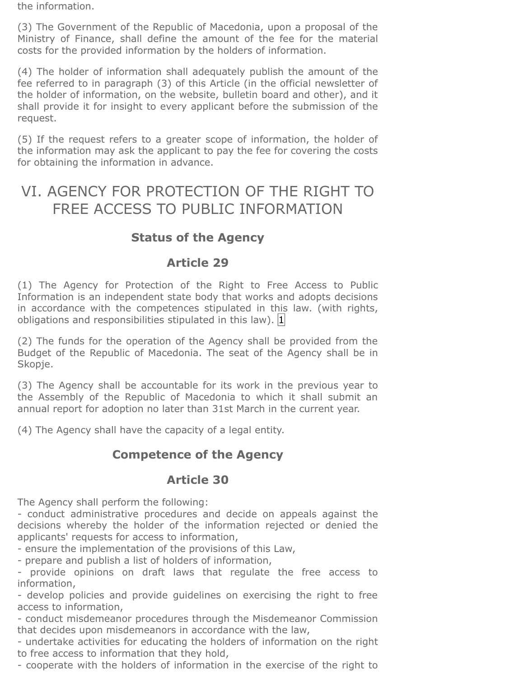the information.

(3) The Government of the Republic of Macedonia, upon a proposal of the Ministry of Finance, shall define the amount of the fee for the material costs for the provided information by the holders of information.

(4) The holder of information shall adequately publish the amount of the fee referred to in paragraph (3) of this Article (in the official newsletter of the holder of information, on the website, bulletin board and other), and it shall provide it for insight to every applicant before the submission of the request.

(5) If the request refers to a greater scope of information, the holder of the information may ask the applicant to pay the fee for covering the costs for obtaining the information in advance.

# VI. AGENCY FOR PROTECTION OF THE RIGHT TO FREE ACCESS TO PUBLIC INFORMATION

# **Status of the Agency**

## **Article 29**

(1) The Agency for Protection of the Right to Free Access to Public Information is an independent state body that works and adopts decisions in accordance with the competences stipulated in this law. (with rights, obligations and responsibilities stipulated in this law).  $|1|$  $|1|$  $|1|$ 

(2) The funds for the operation of the Agency shall be provided from the Budget of the Republic of Macedonia. The seat of the Agency shall be in Skopje.

(3) The Agency shall be accountable for its work in the previous year to the Assembly of the Republic of Macedonia to which it shall submit an annual report for adoption no later than 31st March in the current year.

(4) The Agency shall have the capacity of a legal entity.

# **Competence of the Agency**

## **Article 30**

The Agency shall perform the following:

- conduct administrative procedures and decide on appeals against the decisions whereby the holder of the information rejected or denied the applicants' requests for access to information,

- ensure the implementation of the provisions of this Law,

- prepare and publish a list of holders of information,

- provide opinions on draft laws that regulate the free access to information,

- develop policies and provide guidelines on exercising the right to free access to information,

- conduct misdemeanor procedures through the Misdemeanor Commission that decides upon misdemeanors in accordance with the law,

- undertake activities for educating the holders of information on the right to free access to information that they hold,

- cooperate with the holders of information in the exercise of the right to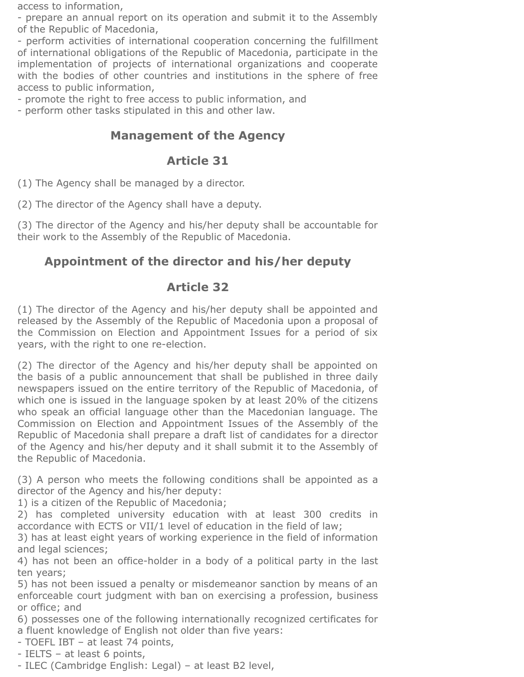access to information,

- prepare an annual report on its operation and submit it to the Assembly of the Republic of Macedonia,

- perform activities of international cooperation concerning the fulfillment of international obligations of the Republic of Macedonia, participate in the implementation of projects of international organizations and cooperate with the bodies of other countries and institutions in the sphere of free access to public information,

- promote the right to free access to public information, and

- perform other tasks stipulated in this and other law.

## **Management of the Agency**

#### **Article 31**

(1) The Agency shall be managed by a director.

(2) The director of the Agency shall have a deputy.

(3) The director of the Agency and his/her deputy shall be accountable for their work to the Assembly of the Republic of Macedonia.

# **Appointment of the director and his/her deputy**

## **Article 32**

(1) The director of the Agency and his/her deputy shall be appointed and released by the Assembly of the Republic of Macedonia upon a proposal of the Commission on Election and Appointment Issues for a period of six years, with the right to one re-election.

(2) The director of the Agency and his/her deputy shall be appointed on the basis of a public announcement that shall be published in three daily newspapers issued on the entire territory of the Republic of Macedonia, of which one is issued in the language spoken by at least 20% of the citizens who speak an official language other than the Macedonian language. The Commission on Election and Appointment Issues of the Assembly of the Republic of Macedonia shall prepare a draft list of candidates for a director of the Agency and his/her deputy and it shall submit it to the Assembly of the Republic of Macedonia.

(3) A person who meets the following conditions shall be appointed as a director of the Agency and his/her deputy:

1) is a citizen of the Republic of Macedonia;

2) has completed university education with at least 300 credits in accordance with ECTS or VII/1 level of education in the field of law;

3) has at least eight years of working experience in the field of information and legal sciences;

4) has not been an office-holder in a body of a political party in the last ten years;

5) has not been issued a penalty or misdemeanor sanction by means of an enforceable court judgment with ban on exercising a profession, business or office; and

6) possesses one of the following internationally recognized certificates for a fluent knowledge of English not older than five years:

- TOEFL IBT – at least 74 points,

- IELTS – at least 6 points,

- ILEC (Cambridge English: Legal) – at least B2 level,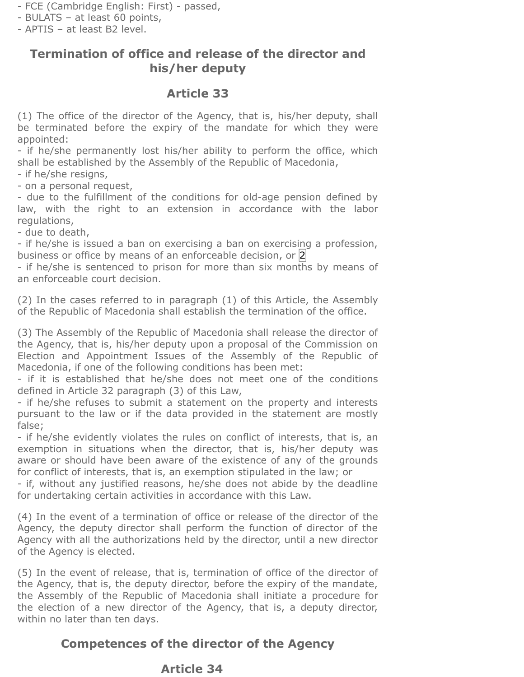- FCE (Cambridge English: First) passed,
- BULATS at least 60 points,
- АPTIS at least B2 level.

## **Termination of office and release of the director and his/her deputy**

## **Article 33**

(1) The office of the director of the Agency, that is, his/her deputy, shall be terminated before the expiry of the mandate for which they were appointed:

- if he/she permanently lost his/her ability to perform the office, which shall be established by the Assembly of the Republic of Macedonia,

- if he/she resigns,

- on a personal request,

- due to the fulfillment of the conditions for old-age pension defined by law, with the right to an extension in accordance with the labor regulations,

- due to death,

- if he/she is issued a ban on exercising a ban on exercising a profession, business or office by means of an enforceable decision, or  $|2|$ 

- if he/she is sentenced to prison for more than six months by means of an enforceable court decision.

(2) In the cases referred to in paragraph (1) of this Article, the Assembly of the Republic of Macedonia shall establish the termination of the office.

(3) The Assembly of the Republic of Macedonia shall release the director of the Agency, that is, his/her deputy upon a proposal of the Commission on Election and Appointment Issues of the Assembly of the Republic of Macedonia, if one of the following conditions has been met:

- if it is established that he/she does not meet one of the conditions defined in Article 32 paragraph (3) of this Law,

- if he/she refuses to submit a statement on the property and interests pursuant to the law or if the data provided in the statement are mostly false;

- if he/she evidently violates the rules on conflict of interests, that is, an exemption in situations when the director, that is, his/her deputy was aware or should have been aware of the existence of any of the grounds for conflict of interests, that is, an exemption stipulated in the law; or

- if, without any justified reasons, he/she does not abide by the deadline for undertaking certain activities in accordance with this Law.

(4) In the event of a termination of office or release of the director of the Agency, the deputy director shall perform the function of director of the Agency with all the authorizations held by the director, until a new director of the Agency is elected.

(5) In the event of release, that is, termination of office of the director of the Agency, that is, the deputy director, before the expiry of the mandate, the Assembly of the Republic of Macedonia shall initiate a procedure for the election of a new director of the Agency, that is, a deputy director, within no later than ten days.

# **Competences of the director of the Agency**

## **Article 34**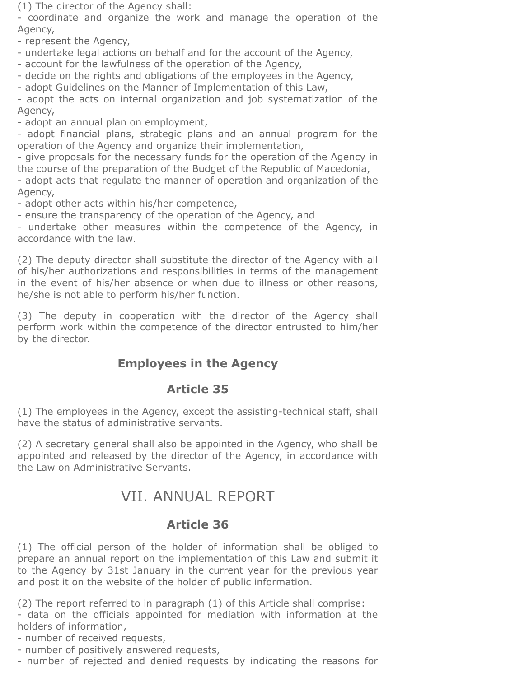(1) The director of the Agency shall:

- coordinate and organize the work and manage the operation of the Agency,

- represent the Agency,

- undertake legal actions on behalf and for the account of the Agency,

- account for the lawfulness of the operation of the Agency,

- decide on the rights and obligations of the employees in the Agency,

- adopt Guidelines on the Manner of Implementation of this Law,

- adopt the acts on internal organization and job systematization of the Agency,

- adopt an annual plan on employment,

- adopt financial plans, strategic plans and an annual program for the operation of the Agency and organize their implementation,

- give proposals for the necessary funds for the operation of the Agency in the course of the preparation of the Budget of the Republic of Macedonia, - adopt acts that regulate the manner of operation and organization of the Agency,

- adopt other acts within his/her competence,

- ensure the transparency of the operation of the Agency, and

- undertake other measures within the competence of the Agency, in accordance with the law.

(2) The deputy director shall substitute the director of the Agency with all of his/her authorizations and responsibilities in terms of the management in the event of his/her absence or when due to illness or other reasons, he/she is not able to perform his/her function.

(3) The deputy in cooperation with the director of the Agency shall perform work within the competence of the director entrusted to him/her by the director.

# **Employees in the Agency**

## **Article 35**

(1) The employees in the Agency, except the assisting-technical staff, shall have the status of administrative servants.

(2) A secretary general shall also be appointed in the Agency, who shall be appointed and released by the director of the Agency, in accordance with the Law on Administrative Servants.

# VII. ANNUAL REPORT

## **Article 36**

(1) The official person of the holder of information shall be obliged to prepare an annual report on the implementation of this Law and submit it to the Agency by 31st January in the current year for the previous year and post it on the website of the holder of public information.

(2) The report referred to in paragraph (1) of this Article shall comprise: - data on the officials appointed for mediation with information at the holders of information,

- number of received requests,

- number of positively answered requests,

- number of rejected and denied requests by indicating the reasons for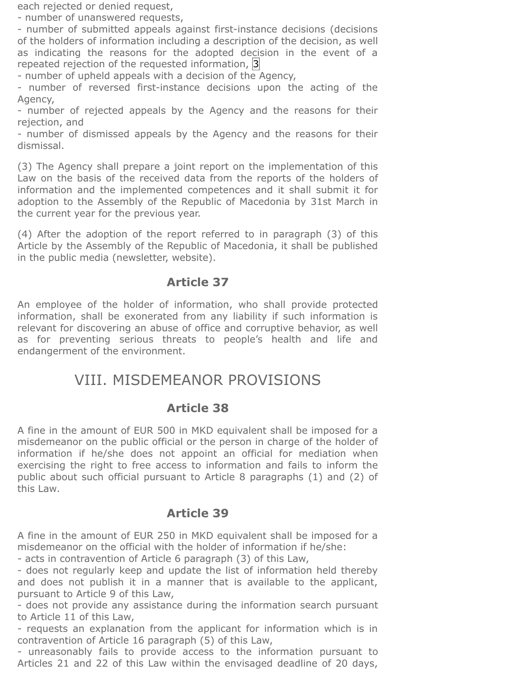each rejected or denied request,

- number of unanswered requests,

- number of submitted appeals against first-instance decisions (decisions of the holders of information including a description of the decision, as well as indicating the reasons for the adopted decision in the event of a repeated rejection of the requested information,  $|3|$  $|3|$  $|3|$ 

- number of upheld appeals with a decision of the Agency,

- number of reversed first-instance decisions upon the acting of the Agency,

- number of rejected appeals by the Agency and the reasons for their rejection, and

- number of dismissed appeals by the Agency and the reasons for their dismissal.

(3) The Agency shall prepare a joint report on the implementation of this Law on the basis of the received data from the reports of the holders of information and the implemented competences and it shall submit it for adoption to the Assembly of the Republic of Macedonia by 31st March in the current year for the previous year.

(4) After the adoption of the report referred to in paragraph (3) of this Article by the Assembly of the Republic of Macedonia, it shall be published in the public media (newsletter, website).

## **Article 37**

An employee of the holder of information, who shall provide protected information, shall be exonerated from any liability if such information is relevant for discovering an abuse of office and corruptive behavior, as well as for preventing serious threats to people's health and life and endangerment of the environment.

# VIII. MISDEMEANOR PROVISIONS

#### **Article 38**

A fine in the amount of EUR 500 in MKD equivalent shall be imposed for a misdemeanor on the public official or the person in charge of the holder of information if he/she does not appoint an official for mediation when exercising the right to free access to information and fails to inform the public about such official pursuant to Article 8 paragraphs (1) and (2) of this Law.

## **Article 39**

A fine in the amount of EUR 250 in MKD equivalent shall be imposed for a misdemeanor on the official with the holder of information if he/she:

- acts in contravention of Article 6 paragraph (3) of this Law,

- does not regularly keep and update the list of information held thereby and does not publish it in a manner that is available to the applicant, pursuant to Article 9 of this Law,

- does not provide any assistance during the information search pursuant to Article 11 of this Law,

- requests an explanation from the applicant for information which is in contravention of Article 16 paragraph (5) of this Law,

- unreasonably fails to provide access to the information pursuant to Articles 21 and 22 of this Law within the envisaged deadline of 20 days,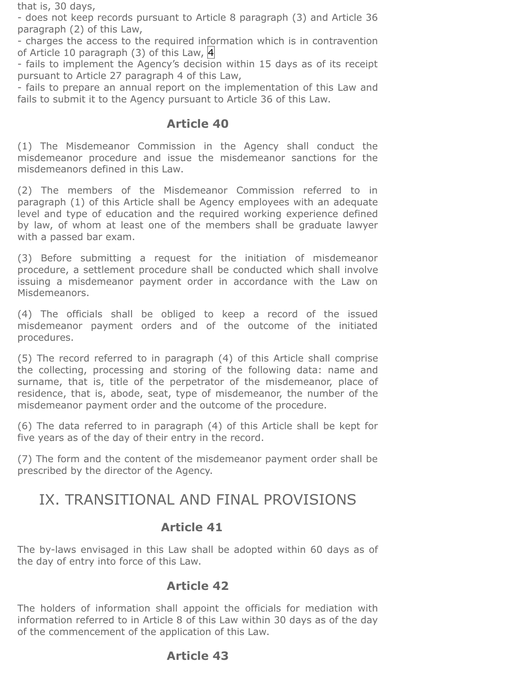that is, 30 days,

- does not keep records pursuant to Article 8 paragraph (3) and Article 36 paragraph (2) of this Law,

- charges the access to the required information which is in contravention of Article 10 paragraph (3) of this Law,  $\overline{4}$ 

- fails to implement the Agency's decision within 15 days as of its receipt pursuant to Article 27 paragraph 4 of this Law,

- fails to prepare an annual report on the implementation of this Law and fails to submit it to the Agency pursuant to Article 36 of this Law.

## **Article 40**

(1) The Misdemeanor Commission in the Agency shall conduct the misdemeanor procedure and issue the misdemeanor sanctions for the misdemeanors defined in this Law.

(2) The members of the Misdemeanor Commission referred to in paragraph (1) of this Article shall be Agency employees with an adequate level and type of education and the required working experience defined by law, of whom at least one of the members shall be graduate lawyer with a passed bar exam.

(3) Before submitting a request for the initiation of misdemeanor procedure, a settlement procedure shall be conducted which shall involve issuing a misdemeanor payment order in accordance with the Law on Misdemeanors.

(4) The officials shall be obliged to keep a record of the issued misdemeanor payment orders and of the outcome of the initiated procedures.

(5) The record referred to in paragraph (4) of this Article shall comprise the collecting, processing and storing of the following data: name and surname, that is, title of the perpetrator of the misdemeanor, place of residence, that is, abode, seat, type of misdemeanor, the number of the misdemeanor payment order and the outcome of the procedure.

(6) The data referred to in paragraph (4) of this Article shall be kept for five years as of the day of their entry in the record.

(7) The form and the content of the misdemeanor payment order shall be prescribed by the director of the Agency.

# IX. TRANSITIONAL AND FINAL PROVISIONS

## **Article 41**

The by-laws envisaged in this Law shall be adopted within 60 days as of the day of entry into force of this Law.

## **Article 42**

The holders of information shall appoint the officials for mediation with information referred to in Article 8 of this Law within 30 days as of the day of the commencement of the application of this Law.

# **Article 43**